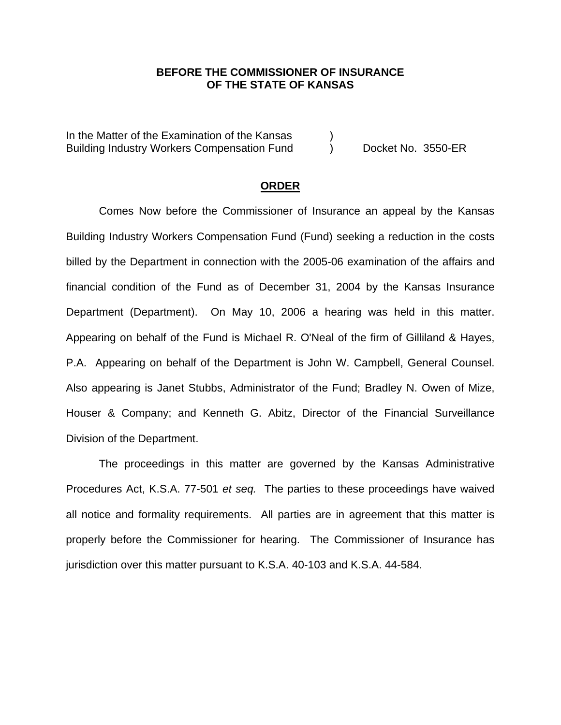# **BEFORE THE COMMISSIONER OF INSURANCE OF THE STATE OF KANSAS**

In the Matter of the Examination of the Kansas Building Industry Workers Compensation Fund (b) Docket No. 3550-ER

### **ORDER**

Comes Now before the Commissioner of Insurance an appeal by the Kansas Building Industry Workers Compensation Fund (Fund) seeking a reduction in the costs billed by the Department in connection with the 2005-06 examination of the affairs and financial condition of the Fund as of December 31, 2004 by the Kansas Insurance Department (Department). On May 10, 2006 a hearing was held in this matter. Appearing on behalf of the Fund is Michael R. O'Neal of the firm of Gilliland & Hayes, P.A. Appearing on behalf of the Department is John W. Campbell, General Counsel. Also appearing is Janet Stubbs, Administrator of the Fund; Bradley N. Owen of Mize, Houser & Company; and Kenneth G. Abitz, Director of the Financial Surveillance Division of the Department.

The proceedings in this matter are governed by the Kansas Administrative Procedures Act, K.S.A. 77-501 *et seq.* The parties to these proceedings have waived all notice and formality requirements. All parties are in agreement that this matter is properly before the Commissioner for hearing. The Commissioner of Insurance has jurisdiction over this matter pursuant to K.S.A. 40-103 and K.S.A. 44-584.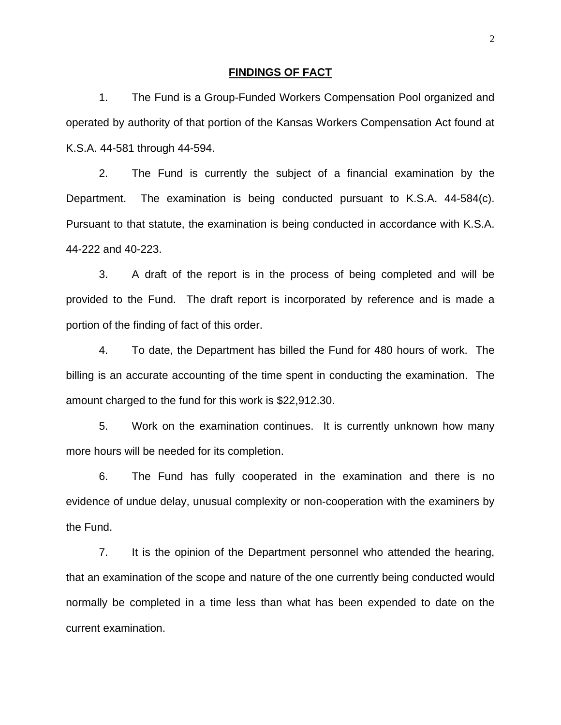#### **FINDINGS OF FACT**

 1. The Fund is a Group-Funded Workers Compensation Pool organized and operated by authority of that portion of the Kansas Workers Compensation Act found at K.S.A. 44-581 through 44-594.

 2. The Fund is currently the subject of a financial examination by the Department. The examination is being conducted pursuant to K.S.A. 44-584(c). Pursuant to that statute, the examination is being conducted in accordance with K.S.A. 44-222 and 40-223.

 3. A draft of the report is in the process of being completed and will be provided to the Fund. The draft report is incorporated by reference and is made a portion of the finding of fact of this order.

 4. To date, the Department has billed the Fund for 480 hours of work. The billing is an accurate accounting of the time spent in conducting the examination. The amount charged to the fund for this work is \$22,912.30.

 5. Work on the examination continues. It is currently unknown how many more hours will be needed for its completion.

 6. The Fund has fully cooperated in the examination and there is no evidence of undue delay, unusual complexity or non-cooperation with the examiners by the Fund.

 7. It is the opinion of the Department personnel who attended the hearing, that an examination of the scope and nature of the one currently being conducted would normally be completed in a time less than what has been expended to date on the current examination.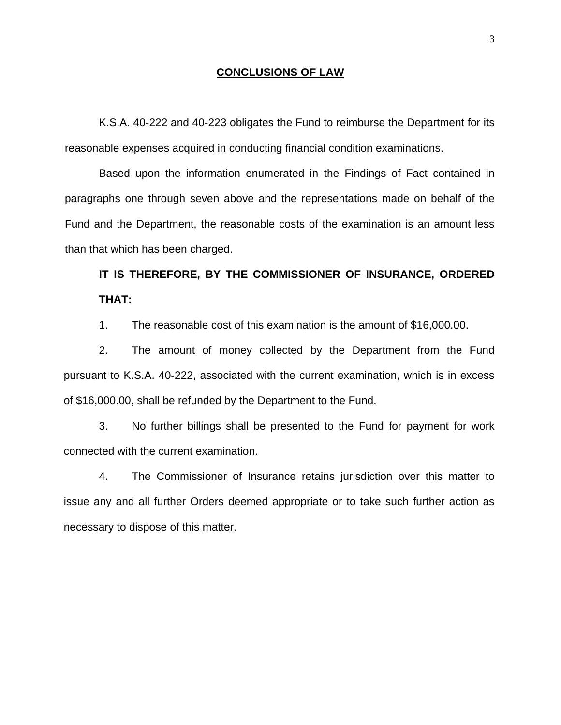### **CONCLUSIONS OF LAW**

K.S.A. 40-222 and 40-223 obligates the Fund to reimburse the Department for its reasonable expenses acquired in conducting financial condition examinations.

Based upon the information enumerated in the Findings of Fact contained in paragraphs one through seven above and the representations made on behalf of the Fund and the Department, the reasonable costs of the examination is an amount less than that which has been charged.

**IT IS THEREFORE, BY THE COMMISSIONER OF INSURANCE, ORDERED THAT:** 

1. The reasonable cost of this examination is the amount of \$16,000.00.

2. The amount of money collected by the Department from the Fund pursuant to K.S.A. 40-222, associated with the current examination, which is in excess of \$16,000.00, shall be refunded by the Department to the Fund.

3. No further billings shall be presented to the Fund for payment for work connected with the current examination.

4. The Commissioner of Insurance retains jurisdiction over this matter to issue any and all further Orders deemed appropriate or to take such further action as necessary to dispose of this matter.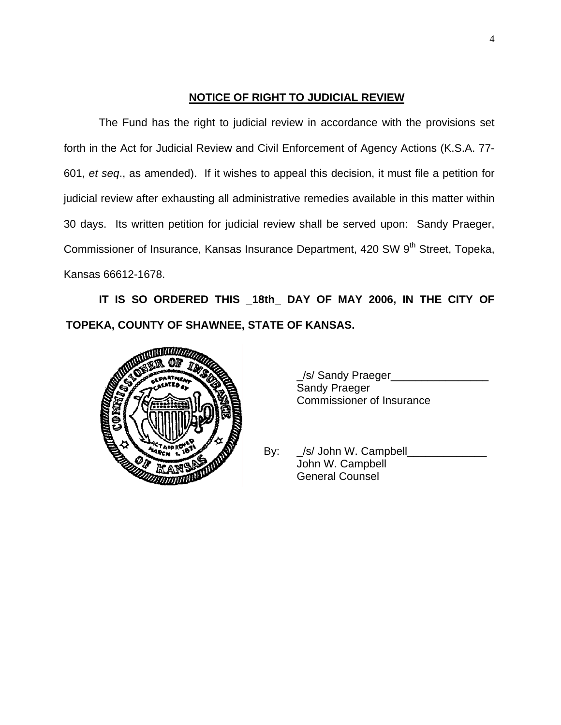# **NOTICE OF RIGHT TO JUDICIAL REVIEW**

The Fund has the right to judicial review in accordance with the provisions set forth in the Act for Judicial Review and Civil Enforcement of Agency Actions (K.S.A. 77- 601, *et seq*., as amended). If it wishes to appeal this decision, it must file a petition for judicial review after exhausting all administrative remedies available in this matter within 30 days. Its written petition for judicial review shall be served upon: Sandy Praeger, Commissioner of Insurance, Kansas Insurance Department, 420 SW 9<sup>th</sup> Street, Topeka, Kansas 66612-1678.

**IT IS SO ORDERED THIS \_18th\_ DAY OF MAY 2006, IN THE CITY OF TOPEKA, COUNTY OF SHAWNEE, STATE OF KANSAS.** 



\_/s/ Sandy Praeger\_\_\_\_\_\_\_\_\_\_\_\_\_\_\_\_ Sandy Praeger Commissioner of Insurance

By: s/ John W. Campbell\_ John W. Campbell General Counsel